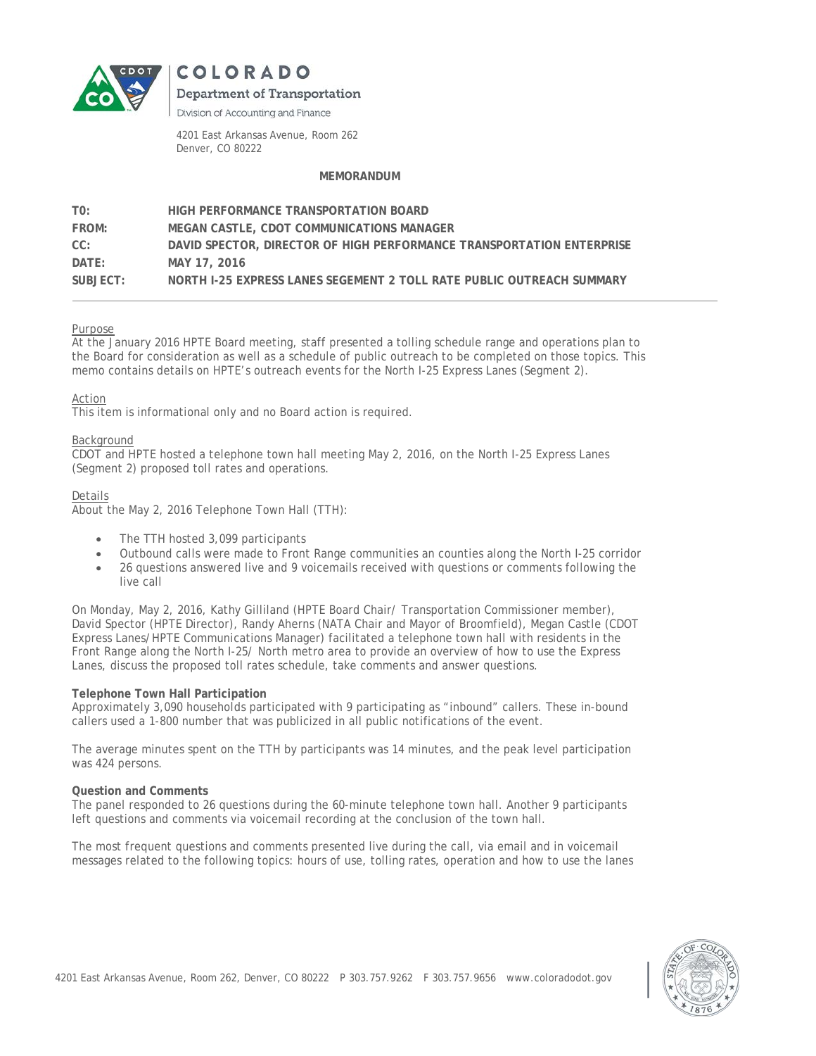

# COLORADO

Department of Transportation

Division of Accounting and Finance

4201 East Arkansas Avenue, Room 262 Denver, CO 80222

# **MEMORANDUM**

| TO:      | HIGH PERFORMANCE TRANSPORTATION BOARD                                 |
|----------|-----------------------------------------------------------------------|
| FROM:    | MEGAN CASTLE, CDOT COMMUNICATIONS MANAGER                             |
| CC:      | DAVID SPECTOR, DIRECTOR OF HIGH PERFORMANCE TRANSPORTATION ENTERPRISE |
| DATF:    | MAY 17, 2016                                                          |
| SUBJECT: | NORTH I-25 EXPRESS LANES SEGEMENT 2 TOLL RATE PUBLIC OUTREACH SUMMARY |

## Purpose

At the January 2016 HPTE Board meeting, staff presented a tolling schedule range and operations plan to the Board for consideration as well as a schedule of public outreach to be completed on those topics. This memo contains details on HPTE's outreach events for the North I-25 Express Lanes (Segment 2).

## Action

This item is informational only and no Board action is required.

## Background

CDOT and HPTE hosted a telephone town hall meeting May 2, 2016, on the North I-25 Express Lanes (Segment 2) proposed toll rates and operations.

## Details

About the May 2, 2016 Telephone Town Hall (TTH):

- The TTH hosted 3,099 participants
- Outbound calls were made to Front Range communities an counties along the North I-25 corridor
- 26 questions answered live and 9 voicemails received with questions or comments following the live call

On Monday, May 2, 2016, Kathy Gilliland (HPTE Board Chair/ Transportation Commissioner member), David Spector (HPTE Director), Randy Aherns (NATA Chair and Mayor of Broomfield), Megan Castle (CDOT Express Lanes/HPTE Communications Manager) facilitated a telephone town hall with residents in the Front Range along the North I-25/ North metro area to provide an overview of how to use the Express Lanes, discuss the proposed toll rates schedule, take comments and answer questions.

## **Telephone Town Hall Participation**

Approximately 3,090 households participated with 9 participating as "inbound" callers. These in-bound callers used a 1-800 number that was publicized in all public notifications of the event.

The average minutes spent on the TTH by participants was 14 minutes, and the peak level participation was 424 persons.

## **Question and Comments**

The panel responded to 26 questions during the 60-minute telephone town hall. Another 9 participants left questions and comments via voicemail recording at the conclusion of the town hall.

The most frequent questions and comments presented live during the call, via email and in voicemail messages related to the following topics: hours of use, tolling rates, operation and how to use the lanes